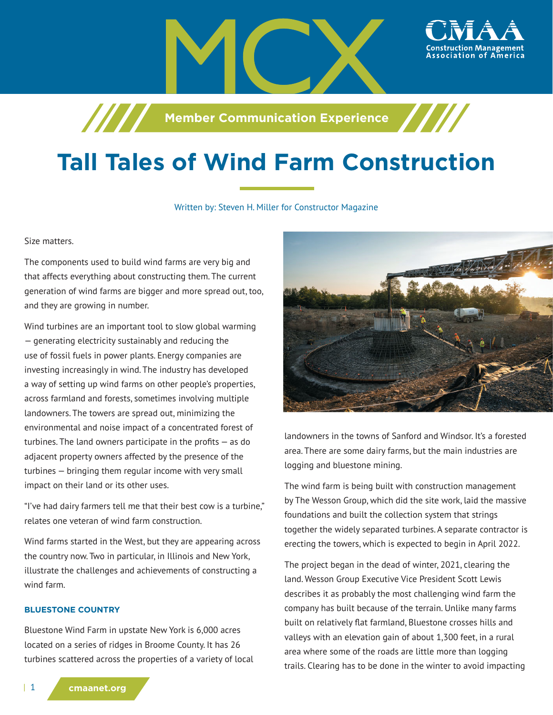

**Member Communication Experience** 

# **Tall Tales of Wind Farm Construction**

#### Written by: Steven H. Miller for Constructor Magazine

Size matters.

The components used to build wind farms are very big and that affects everything about constructing them. The current generation of wind farms are bigger and more spread out, too, and they are growing in number.

Wind turbines are an important tool to slow global warming — generating electricity sustainably and reducing the use of fossil fuels in power plants. Energy companies are investing increasingly in wind. The industry has developed a way of setting up wind farms on other people's properties, across farmland and forests, sometimes involving multiple landowners. The towers are spread out, minimizing the environmental and noise impact of a concentrated forest of turbines. The land owners participate in the profits — as do adjacent property owners affected by the presence of the turbines — bringing them regular income with very small impact on their land or its other uses.

"I've had dairy farmers tell me that their best cow is a turbine," relates one veteran of wind farm construction.

Wind farms started in the West, but they are appearing across the country now. Two in particular, in Illinois and New York, illustrate the challenges and achievements of constructing a wind farm.

### **BLUESTONE COUNTRY**

Bluestone Wind Farm in upstate New York is 6,000 acres located on a series of ridges in Broome County. It has 26 turbines scattered across the properties of a variety of local



landowners in the towns of Sanford and Windsor. It's a forested area. There are some dairy farms, but the main industries are logging and bluestone mining.

The wind farm is being built with construction management by The Wesson Group, which did the site work, laid the massive foundations and built the collection system that strings together the widely separated turbines. A separate contractor is erecting the towers, which is expected to begin in April 2022.

The project began in the dead of winter, 2021, clearing the land. Wesson Group Executive Vice President Scott Lewis describes it as probably the most challenging wind farm the company has built because of the terrain. Unlike many farms built on relatively flat farmland, Bluestone crosses hills and valleys with an elevation gain of about 1,300 feet, in a rural area where some of the roads are little more than logging trails. Clearing has to be done in the winter to avoid impacting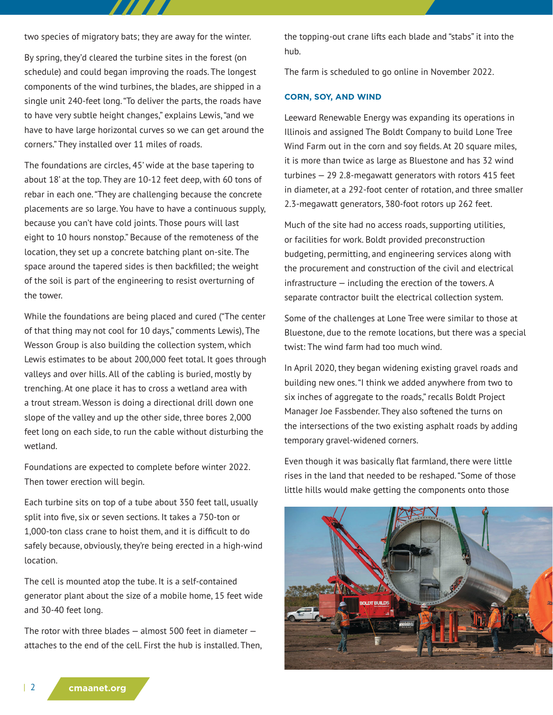two species of migratory bats; they are away for the winter.

By spring, they'd cleared the turbine sites in the forest (on schedule) and could began improving the roads. The longest components of the wind turbines, the blades, are shipped in a single unit 240-feet long. "To deliver the parts, the roads have to have very subtle height changes," explains Lewis, "and we have to have large horizontal curves so we can get around the corners." They installed over 11 miles of roads.

The foundations are circles, 45' wide at the base tapering to about 18' at the top. They are 10-12 feet deep, with 60 tons of rebar in each one. "They are challenging because the concrete placements are so large. You have to have a continuous supply, because you can't have cold joints. Those pours will last eight to 10 hours nonstop." Because of the remoteness of the location, they set up a concrete batching plant on-site. The space around the tapered sides is then backfilled; the weight of the soil is part of the engineering to resist overturning of the tower.

While the foundations are being placed and cured ("The center of that thing may not cool for 10 days," comments Lewis), The Wesson Group is also building the collection system, which Lewis estimates to be about 200,000 feet total. It goes through valleys and over hills. All of the cabling is buried, mostly by trenching. At one place it has to cross a wetland area with a trout stream. Wesson is doing a directional drill down one slope of the valley and up the other side, three bores 2,000 feet long on each side, to run the cable without disturbing the wetland.

Foundations are expected to complete before winter 2022. Then tower erection will begin.

Each turbine sits on top of a tube about 350 feet tall, usually split into five, six or seven sections. It takes a 750-ton or 1,000-ton class crane to hoist them, and it is difficult to do safely because, obviously, they're being erected in a high-wind location.

The cell is mounted atop the tube. It is a self-contained generator plant about the size of a mobile home, 15 feet wide and 30-40 feet long.

The rotor with three blades  $-$  almost 500 feet in diameter  $$ attaches to the end of the cell. First the hub is installed. Then, the topping-out crane lifts each blade and "stabs" it into the hub.

The farm is scheduled to go online in November 2022.

### **CORN, SOY, AND WIND**

Leeward Renewable Energy was expanding its operations in Illinois and assigned The Boldt Company to build Lone Tree Wind Farm out in the corn and soy fields. At 20 square miles, it is more than twice as large as Bluestone and has 32 wind turbines — 29 2.8-megawatt generators with rotors 415 feet in diameter, at a 292-foot center of rotation, and three smaller 2.3-megawatt generators, 380-foot rotors up 262 feet.

Much of the site had no access roads, supporting utilities, or facilities for work. Boldt provided preconstruction budgeting, permitting, and engineering services along with the procurement and construction of the civil and electrical infrastructure — including the erection of the towers. A separate contractor built the electrical collection system.

Some of the challenges at Lone Tree were similar to those at Bluestone, due to the remote locations, but there was a special twist: The wind farm had too much wind.

In April 2020, they began widening existing gravel roads and building new ones. "I think we added anywhere from two to six inches of aggregate to the roads," recalls Boldt Project Manager Joe Fassbender. They also softened the turns on the intersections of the two existing asphalt roads by adding temporary gravel-widened corners.

Even though it was basically flat farmland, there were little rises in the land that needed to be reshaped. "Some of those little hills would make getting the components onto those

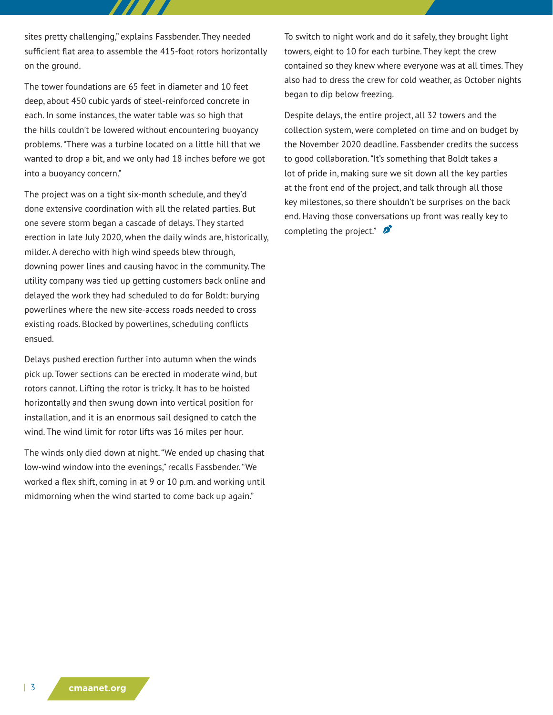sites pretty challenging," explains Fassbender. They needed sufficient flat area to assemble the 415-foot rotors horizontally on the ground.

The tower foundations are 65 feet in diameter and 10 feet deep, about 450 cubic yards of steel-reinforced concrete in each. In some instances, the water table was so high that the hills couldn't be lowered without encountering buoyancy problems. "There was a turbine located on a little hill that we wanted to drop a bit, and we only had 18 inches before we got into a buoyancy concern."

The project was on a tight six-month schedule, and they'd done extensive coordination with all the related parties. But one severe storm began a cascade of delays. They started erection in late July 2020, when the daily winds are, historically, milder. A derecho with high wind speeds blew through, downing power lines and causing havoc in the community. The utility company was tied up getting customers back online and delayed the work they had scheduled to do for Boldt: burying powerlines where the new site-access roads needed to cross existing roads. Blocked by powerlines, scheduling conflicts ensued.

Delays pushed erection further into autumn when the winds pick up. Tower sections can be erected in moderate wind, but rotors cannot. Lifting the rotor is tricky. It has to be hoisted horizontally and then swung down into vertical position for installation, and it is an enormous sail designed to catch the wind. The wind limit for rotor lifts was 16 miles per hour.

The winds only died down at night. "We ended up chasing that low-wind window into the evenings," recalls Fassbender. "We worked a flex shift, coming in at 9 or 10 p.m. and working until midmorning when the wind started to come back up again."

To switch to night work and do it safely, they brought light towers, eight to 10 for each turbine. They kept the crew contained so they knew where everyone was at all times. They also had to dress the crew for cold weather, as October nights began to dip below freezing.

Despite delays, the entire project, all 32 towers and the collection system, were completed on time and on budget by the November 2020 deadline. Fassbender credits the success to good collaboration. "It's something that Boldt takes a lot of pride in, making sure we sit down all the key parties at the front end of the project, and talk through all those key milestones, so there shouldn't be surprises on the back end. Having those conversations up front was really key to completing the project." $\sum$